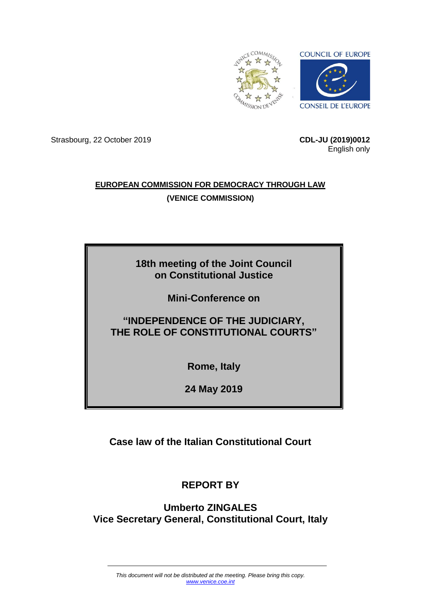

Strasbourg, 22 October 2019 **CDL-JU (2019)0012**

English only

### **EUROPEAN COMMISSION FOR DEMOCRACY THROUGH LAW (VENICE COMMISSION)**

## **18th meeting of the Joint Council on Constitutional Justice**

**Mini-Conference on**

## **"INDEPENDENCE OF THE JUDICIARY, THE ROLE OF CONSTITUTIONAL COURTS"**

**Rome, Italy**

**24 May 2019**

**Case law of the Italian Constitutional Court**

# **REPORT BY**

**Umberto ZINGALES Vice Secretary General, Constitutional Court, Italy**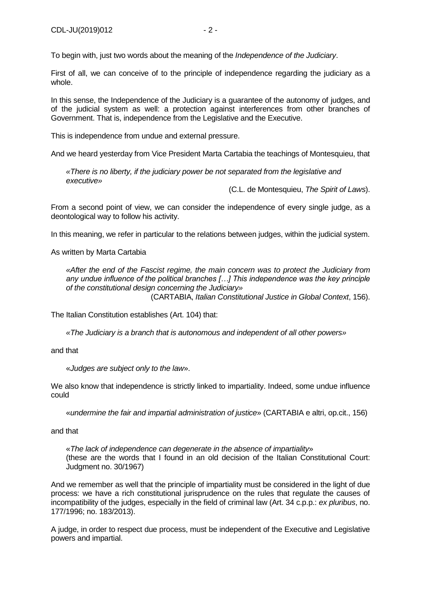To begin with, just two words about the meaning of the *Independence of the Judiciary*.

First of all, we can conceive of to the principle of independence regarding the judiciary as a whole.

In this sense, the Independence of the Judiciary is a guarantee of the autonomy of judges, and of the judicial system as well: a protection against interferences from other branches of Government. That is, independence from the Legislative and the Executive.

This is independence from undue and external pressure.

And we heard yesterday from Vice President Marta Cartabia the teachings of Montesquieu, that

*«There is no liberty, if the judiciary power be not separated from the legislative and executive»*

(C.L. de Montesquieu, *The Spirit of Laws*).

From a second point of view, we can consider the independence of every single judge, as a deontological way to follow his activity.

In this meaning, we refer in particular to the relations between judges, within the judicial system.

As written by Marta Cartabia

*«After the end of the Fascist regime, the main concern was to protect the Judiciary from any undue influence of the political branches […] This independence was the key principle of the constitutional design concerning the Judiciary»* (CARTABIA, *Italian Constitutional Justice in Global Context*, 156).

The Italian Constitution establishes (Art. 104) that:

*«The Judiciary is a branch that is autonomous and independent of all other powers»*

and that

«*Judges are subject only to the law*».

We also know that independence is strictly linked to impartiality. Indeed, some undue influence could

«*undermine the fair and impartial administration of justice*» (CARTABIA e altri, op.cit., 156)

and that

«*The lack of independence can degenerate in the absence of impartiality*» (these are the words that I found in an old decision of the Italian Constitutional Court: Judgment no. 30/1967)

And we remember as well that the principle of impartiality must be considered in the light of due process: we have a rich constitutional jurisprudence on the rules that regulate the causes of incompatibility of the judges, especially in the field of criminal law (Art. 34 c.p.p.: *ex pluribus*, no. 177/1996; no. 183/2013).

A judge, in order to respect due process, must be independent of the Executive and Legislative powers and impartial.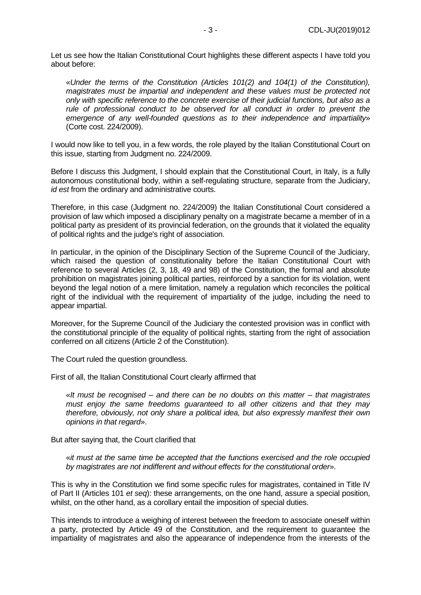Let us see how the Italian Constitutional Court highlights these different aspects I have told you about before:

«*Under the terms of the Constitution (Articles 101(2) and 104(1) of the Constitution), magistrates must be impartial and independent and these values must be protected not only with specific reference to the concrete exercise of their judicial functions, but also as a*  rule of professional conduct to be observed for all conduct in order to prevent the *emergence of any well-founded questions as to their independence and impartiality*» (Corte cost. 224/2009).

I would now like to tell you, in a few words, the role played by the Italian Constitutional Court on this issue, starting from Judgment no. 224/2009.

Before I discuss this Judgment, I should explain that the Constitutional Court, in Italy, is a fully autonomous constitutional body, within a self-regulating structure, separate from the Judiciary, *id est* from the ordinary and administrative courts.

Therefore, in this case (Judgment no. 224/2009) the Italian Constitutional Court considered a provision of law which imposed a disciplinary penalty on a magistrate became a member of in a political party as president of its provincial federation, on the grounds that it violated the equality of political rights and the judge's right of association.

In particular, in the opinion of the Disciplinary Section of the Supreme Council of the Judiciary, which raised the question of constitutionality before the Italian Constitutional Court with reference to several Articles (2, 3, 18, 49 and 98) of the Constitution, the formal and absolute prohibition on magistrates joining political parties, reinforced by a sanction for its violation, went beyond the legal notion of a mere limitation, namely a regulation which reconciles the political right of the individual with the requirement of impartiality of the judge, including the need to appear impartial.

Moreover, for the Supreme Council of the Judiciary the contested provision was in conflict with the constitutional principle of the equality of political rights, starting from the right of association conferred on all citizens (Article 2 of the Constitution).

The Court ruled the question groundless.

First of all, the Italian Constitutional Court clearly affirmed that

«*It must be recognised – and there can be no doubts on this matter – that magistrates must enjoy the same freedoms guaranteed to all other citizens and that they may therefore, obviously, not only share a political idea, but also expressly manifest their own opinions in that regard*».

But after saying that, the Court clarified that

«*it must at the same time be accepted that the functions exercised and the role occupied by magistrates are not indifferent and without effects for the constitutional order*».

This is why in the Constitution we find some specific rules for magistrates, contained in Title IV of Part II (Articles 101 *et seq*): these arrangements, on the one hand, assure a special position, whilst, on the other hand, as a corollary entail the imposition of special duties.

This intends to introduce a weighing of interest between the freedom to associate oneself within a party, protected by Article 49 of the Constitution, and the requirement to guarantee the impartiality of magistrates and also the appearance of independence from the interests of the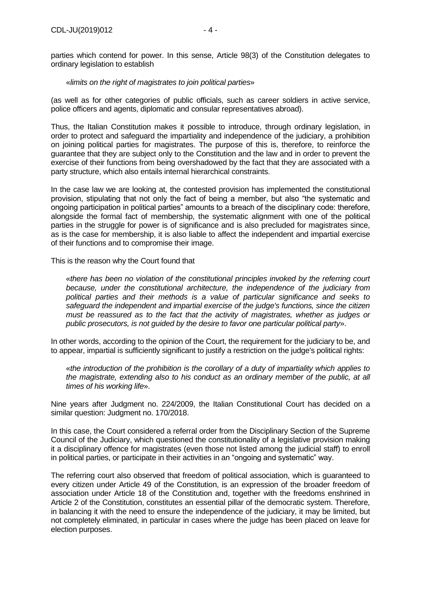parties which contend for power. In this sense, Article 98(3) of the Constitution delegates to ordinary legislation to establish

### «*limits on the right of magistrates to join political parties*»

(as well as for other categories of public officials, such as career soldiers in active service, police officers and agents, diplomatic and consular representatives abroad).

Thus, the Italian Constitution makes it possible to introduce, through ordinary legislation, in order to protect and safeguard the impartiality and independence of the judiciary, a prohibition on joining political parties for magistrates. The purpose of this is, therefore, to reinforce the guarantee that they are subject only to the Constitution and the law and in order to prevent the exercise of their functions from being overshadowed by the fact that they are associated with a party structure, which also entails internal hierarchical constraints.

In the case law we are looking at, the contested provision has implemented the constitutional provision, stipulating that not only the fact of being a member, but also "the systematic and ongoing participation in political parties" amounts to a breach of the disciplinary code: therefore, alongside the formal fact of membership, the systematic alignment with one of the political parties in the struggle for power is of significance and is also precluded for magistrates since, as is the case for membership, it is also liable to affect the independent and impartial exercise of their functions and to compromise their image.

This is the reason why the Court found that

«*there has been no violation of the constitutional principles invoked by the referring court because, under the constitutional architecture, the independence of the judiciary from political parties and their methods is a value of particular significance and seeks to safeguard the independent and impartial exercise of the judge's functions, since the citizen must be reassured as to the fact that the activity of magistrates, whether as judges or public prosecutors, is not guided by the desire to favor one particular political party*».

In other words, according to the opinion of the Court, the requirement for the judiciary to be, and to appear, impartial is sufficiently significant to justify a restriction on the judge's political rights:

«*the introduction of the prohibition is the corollary of a duty of impartiality which applies to the magistrate, extending also to his conduct as an ordinary member of the public, at all times of his working life*».

Nine years after Judgment no. 224/2009, the Italian Constitutional Court has decided on a similar question: Judgment no. 170/2018.

In this case, the Court considered a referral order from the Disciplinary Section of the Supreme Council of the Judiciary, which questioned the constitutionality of a legislative provision making it a disciplinary offence for magistrates (even those not listed among the judicial staff) to enroll in political parties, or participate in their activities in an "ongoing and systematic" way.

The referring court also observed that freedom of political association, which is guaranteed to every citizen under Article 49 of the Constitution, is an expression of the broader freedom of association under Article 18 of the Constitution and, together with the freedoms enshrined in Article 2 of the Constitution, constitutes an essential pillar of the democratic system. Therefore, in balancing it with the need to ensure the independence of the judiciary, it may be limited, but not completely eliminated, in particular in cases where the judge has been placed on leave for election purposes.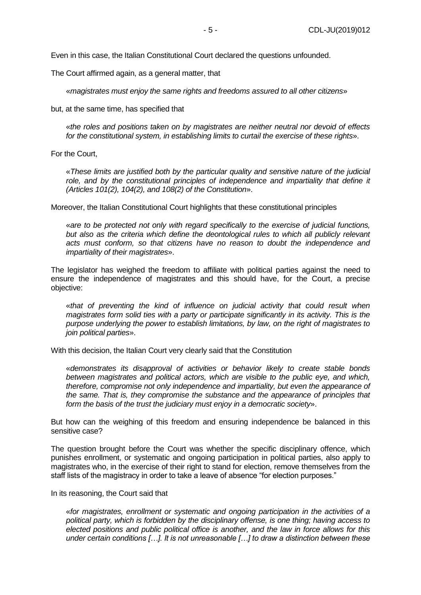Even in this case, the Italian Constitutional Court declared the questions unfounded.

The Court affirmed again, as a general matter, that

«*magistrates must enjoy the same rights and freedoms assured to all other citizens*»

but, at the same time, has specified that

«*the roles and positions taken on by magistrates are neither neutral nor devoid of effects for the constitutional system, in establishing limits to curtail the exercise of these rights*».

For the Court,

«*These limits are justified both by the particular quality and sensitive nature of the judicial*  role, and by the constitutional principles of independence and impartiality that define it *(Articles 101(2), 104(2), and 108(2) of the Constitution*».

Moreover, the Italian Constitutional Court highlights that these constitutional principles

«*are to be protected not only with regard specifically to the exercise of judicial functions,*  but also as the criteria which define the deontological rules to which all publicly relevant *acts must conform, so that citizens have no reason to doubt the independence and impartiality of their magistrates*».

The legislator has weighed the freedom to affiliate with political parties against the need to ensure the independence of magistrates and this should have, for the Court, a precise objective:

«*that of preventing the kind of influence on judicial activity that could result when magistrates form solid ties with a party or participate significantly in its activity. This is the purpose underlying the power to establish limitations, by law, on the right of magistrates to join political parties*».

With this decision, the Italian Court very clearly said that the Constitution

«*demonstrates its disapproval of activities or behavior likely to create stable bonds between magistrates and political actors, which are visible to the public eye, and which, therefore, compromise not only independence and impartiality, but even the appearance of the same. That is, they compromise the substance and the appearance of principles that form the basis of the trust the judiciary must enjoy in a democratic society*».

But how can the weighing of this freedom and ensuring independence be balanced in this sensitive case?

The question brought before the Court was whether the specific disciplinary offence, which punishes enrollment, or systematic and ongoing participation in political parties, also apply to magistrates who, in the exercise of their right to stand for election, remove themselves from the staff lists of the magistracy in order to take a leave of absence "for election purposes."

In its reasoning, the Court said that

«*for magistrates, enrollment or systematic and ongoing participation in the activities of a political party, which is forbidden by the disciplinary offense, is one thing; having access to elected positions and public political office is another, and the law in force allows for this under certain conditions […]. It is not unreasonable […] to draw a distinction between these*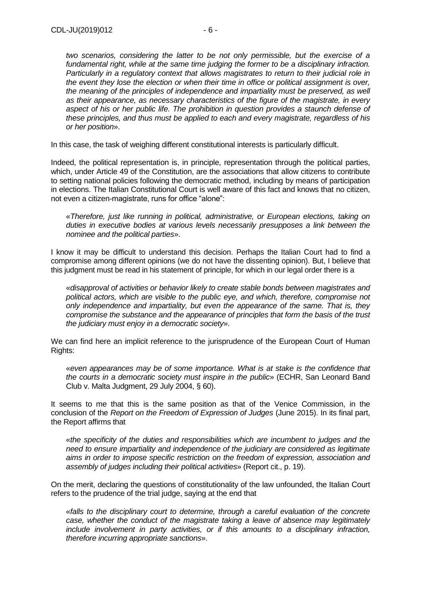*two scenarios, considering the latter to be not only permissible, but the exercise of a fundamental right, while at the same time judging the former to be a disciplinary infraction. Particularly in a regulatory context that allows magistrates to return to their judicial role in the event they lose the election or when their time in office or political assignment is over, the meaning of the principles of independence and impartiality must be preserved, as well as their appearance, as necessary characteristics of the figure of the magistrate, in every aspect of his or her public life. The prohibition in question provides a staunch defense of these principles, and thus must be applied to each and every magistrate, regardless of his or her position*».

In this case, the task of weighing different constitutional interests is particularly difficult.

Indeed, the political representation is, in principle, representation through the political parties, which, under Article 49 of the Constitution, are the associations that allow citizens to contribute to setting national policies following the democratic method, including by means of participation in elections. The Italian Constitutional Court is well aware of this fact and knows that no citizen, not even a citizen-magistrate, runs for office "alone":

«*Therefore, just like running in political, administrative, or European elections, taking on duties in executive bodies at various levels necessarily presupposes a link between the nominee and the political parties*».

I know it may be difficult to understand this decision. Perhaps the Italian Court had to find a compromise among different opinions (we do not have the dissenting opinion). But, I believe that this judgment must be read in his statement of principle, for which in our legal order there is a

«*disapproval of activities or behavior likely to create stable bonds between magistrates and political actors, which are visible to the public eye, and which, therefore, compromise not only independence and impartiality, but even the appearance of the same. That is, they compromise the substance and the appearance of principles that form the basis of the trust the judiciary must enjoy in a democratic society*».

We can find here an implicit reference to the jurisprudence of the European Court of Human Rights:

«*even appearances may be of some importance. What is at stake is the confidence that the courts in a democratic society must inspire in the public*» (ECHR, San Leonard Band Club v. Malta Judgment, 29 July 2004, § 60).

It seems to me that this is the same position as that of the Venice Commission, in the conclusion of the *Report on the Freedom of Expression of Judges* (June 2015). In its final part, the Report affirms that

«*the specificity of the duties and responsibilities which are incumbent to judges and the need to ensure impartiality and independence of the judiciary are considered as legitimate aims in order to impose specific restriction on the freedom of expression, association and assembly of judges including their political activities*» (Report cit., p. 19).

On the merit, declaring the questions of constitutionality of the law unfounded, the Italian Court refers to the prudence of the trial judge, saying at the end that

«*falls to the disciplinary court to determine, through a careful evaluation of the concrete case, whether the conduct of the magistrate taking a leave of absence may legitimately include involvement in party activities, or if this amounts to a disciplinary infraction, therefore incurring appropriate sanctions*».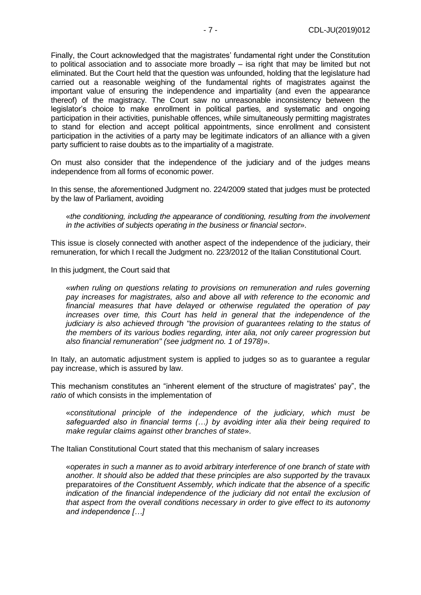Finally, the Court acknowledged that the magistrates' fundamental right under the Constitution to political association and to associate more broadly – isa right that may be limited but not eliminated. But the Court held that the question was unfounded, holding that the legislature had carried out a reasonable weighing of the fundamental rights of magistrates against the important value of ensuring the independence and impartiality (and even the appearance thereof) of the magistracy. The Court saw no unreasonable inconsistency between the legislator's choice to make enrollment in political parties, and systematic and ongoing participation in their activities, punishable offences, while simultaneously permitting magistrates to stand for election and accept political appointments, since enrollment and consistent participation in the activities of a party may be legitimate indicators of an alliance with a given party sufficient to raise doubts as to the impartiality of a magistrate.

On must also consider that the independence of the judiciary and of the judges means independence from all forms of economic power.

In this sense, the aforementioned Judgment no. 224/2009 stated that judges must be protected by the law of Parliament, avoiding

«*the conditioning, including the appearance of conditioning, resulting from the involvement in the activities of subjects operating in the business or financial sector*».

This issue is closely connected with another aspect of the independence of the judiciary, their remuneration, for which I recall the Judgment no. 223/2012 of the Italian Constitutional Court.

In this judgment, the Court said that

«*when ruling on questions relating to provisions on remuneration and rules governing pay increases for magistrates, also and above all with reference to the economic and financial measures that have delayed or otherwise regulated the operation of pay increases over time, this Court has held in general that the independence of the judiciary is also achieved through "the provision of guarantees relating to the status of the members of its various bodies regarding, inter alia, not only career progression but also financial remuneration" (see judgment no. 1 of 1978)*».

In Italy, an automatic adjustment system is applied to judges so as to guarantee a regular pay increase, which is assured by law.

This mechanism constitutes an "inherent element of the structure of magistrates' pay", the *ratio* of which consists in the implementation of

«*constitutional principle of the independence of the judiciary, which must be safeguarded also in financial terms (…) by avoiding inter alia their being required to make regular claims against other branches of state*».

The Italian Constitutional Court stated that this mechanism of salary increases

«*operates in such a manner as to avoid arbitrary interference of one branch of state with another. It should also be added that these principles are also supported by the* travaux preparatoires *of the Constituent Assembly, which indicate that the absence of a specific indication of the financial independence of the judiciary did not entail the exclusion of that aspect from the overall conditions necessary in order to give effect to its autonomy and independence […]*